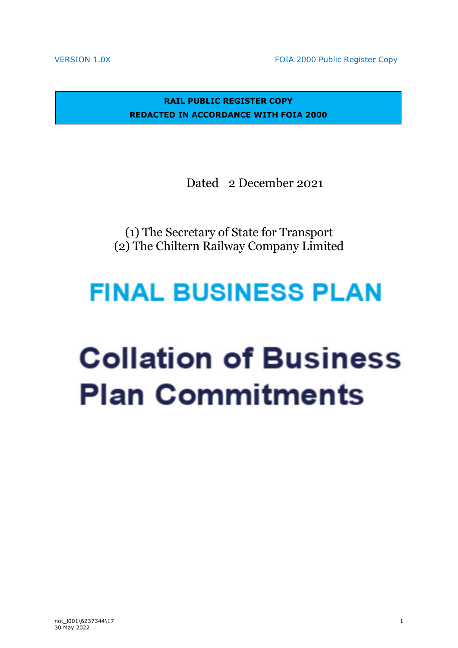VERSION 1.0X **FOIA 2000 Public Register Copy** 

**RAIL PUBLIC REGISTER COPY REDACTED IN ACCORDANCE WITH FOIA 2000**

Dated 2 December 2021

(1) The Secretary of State for Transport (2) The Chiltern Railway Company Limited

# **FINAL BUSINESS PLAN**

# **Collation of Business Plan Commitments**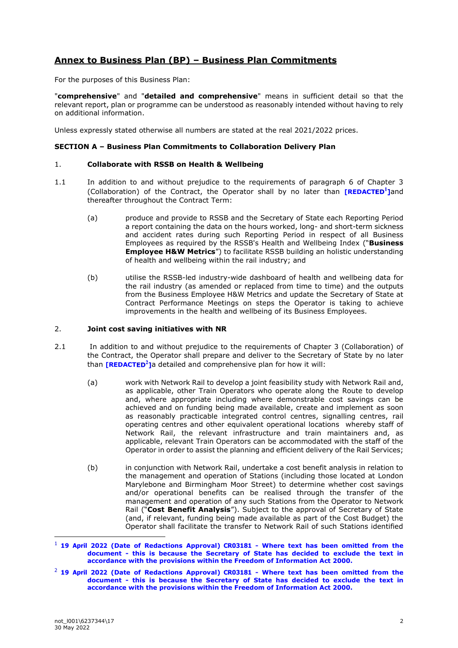# **Annex to Business Plan (BP) – Business Plan Commitments**

For the purposes of this Business Plan:

"**comprehensive**" and "**detailed and comprehensive**" means in sufficient detail so that the relevant report, plan or programme can be understood as reasonably intended without having to rely on additional information.

Unless expressly stated otherwise all numbers are stated at the real 2021/2022 prices.

#### **SECTION A – Business Plan Commitments to Collaboration Delivery Plan**

### 1. **Collaborate with RSSB on Health & Wellbeing**

- 1.1 In addition to and without prejudice to the requirements of paragraph 6 of Chapter 3 (Collaboration) of the Contract, the Operator shall by no later than **[REDACTED<sup>1</sup>]** and thereafter throughout the Contract Term:
	- (a) produce and provide to RSSB and the Secretary of State each Reporting Period a report containing the data on the hours worked, long- and short-term sickness and accident rates during such Reporting Period in respect of all Business Employees as required by the RSSB's Health and Wellbeing Index ("**Business Employee H&W Metrics**") to facilitate RSSB building an holistic understanding of health and wellbeing within the rail industry; and
	- (b) utilise the RSSB-led industry-wide dashboard of health and wellbeing data for the rail industry (as amended or replaced from time to time) and the outputs from the Business Employee H&W Metrics and update the Secretary of State at Contract Performance Meetings on steps the Operator is taking to achieve improvements in the health and wellbeing of its Business Employees.

#### 2. **Joint cost saving initiatives with NR**

- 2.1 In addition to and without prejudice to the requirements of Chapter 3 (Collaboration) of the Contract, the Operator shall prepare and deliver to the Secretary of State by no later than **[REDACTED<sup>2</sup>]** a detailed and comprehensive plan for how it will:
	- (a) work with Network Rail to develop a joint feasibility study with Network Rail and, as applicable, other Train Operators who operate along the Route to develop and, where appropriate including where demonstrable cost savings can be achieved and on funding being made available, create and implement as soon as reasonably practicable integrated control centres, signalling centres, rail operating centres and other equivalent operational locations whereby staff of Network Rail, the relevant infrastructure and train maintainers and, as applicable, relevant Train Operators can be accommodated with the staff of the Operator in order to assist the planning and efficient delivery of the Rail Services;
	- (b) in conjunction with Network Rail, undertake a cost benefit analysis in relation to the management and operation of Stations (including those located at London Marylebone and Birmingham Moor Street) to determine whether cost savings and/or operational benefits can be realised through the transfer of the management and operation of any such Stations from the Operator to Network Rail ("**Cost Benefit Analysis**"). Subject to the approval of Secretary of State (and, if relevant, funding being made available as part of the Cost Budget) the Operator shall facilitate the transfer to Network Rail of such Stations identified

<sup>1</sup> **19 April 2022 (Date of Redactions Approval) CR03181 - Where text has been omitted from the document - this is because the Secretary of State has decided to exclude the text in accordance with the provisions within the Freedom of Information Act 2000.**

<sup>2</sup> **19 April 2022 (Date of Redactions Approval) CR03181 - Where text has been omitted from the document - this is because the Secretary of State has decided to exclude the text in accordance with the provisions within the Freedom of Information Act 2000.**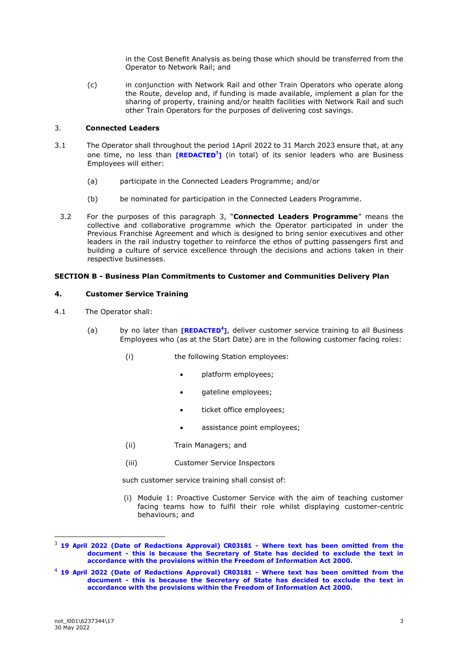in the Cost Benefit Analysis as being those which should be transferred from the Operator to Network Rail; and

(c) in conjunction with Network Rail and other Train Operators who operate along the Route, develop and, if funding is made available, implement a plan for the sharing of property, training and/or health facilities with Network Rail and such other Train Operators for the purposes of delivering cost savings.

## 3. **Connected Leaders**

- 3.1 The Operator shall throughout the period 1April 2022 to 31 March 2023 ensure that, at any one time, no less than **[REDACTED<sup>3</sup>]** (in total) of its senior leaders who are Business Employees will either:
	- (a) participate in the Connected Leaders Programme; and/or
	- (b) be nominated for participation in the Connected Leaders Programme.
	- 3.2 For the purposes of this paragraph 3, "**Connected Leaders Programme**" means the collective and collaborative programme which the Operator participated in under the Previous Franchise Agreement and which is designed to bring senior executives and other leaders in the rail industry together to reinforce the ethos of putting passengers first and building a culture of service excellence through the decisions and actions taken in their respective businesses.

# **SECTION B - Business Plan Commitments to Customer and Communities Delivery Plan**

#### **4. Customer Service Training**

- 4.1 The Operator shall:
	- (a) by no later than **[REDACTED<sup>4</sup>]**, deliver customer service training to all Business Employees who (as at the Start Date) are in the following customer facing roles:
		- (i) the following Station employees:
			- platform employees;
			- gateline employees;
			- ticket office employees;
			- assistance point employees;
		- (ii) Train Managers; and
		- (iii) Customer Service Inspectors

such customer service training shall consist of:

(i) Module 1: Proactive Customer Service with the aim of teaching customer facing teams how to fulfil their role whilst displaying customer-centric behaviours; and

<sup>3</sup> **19 April 2022 (Date of Redactions Approval) CR03181 - Where text has been omitted from the document - this is because the Secretary of State has decided to exclude the text in accordance with the provisions within the Freedom of Information Act 2000.**

<sup>4</sup> **19 April 2022 (Date of Redactions Approval) CR03181 - Where text has been omitted from the document - this is because the Secretary of State has decided to exclude the text in accordance with the provisions within the Freedom of Information Act 2000.**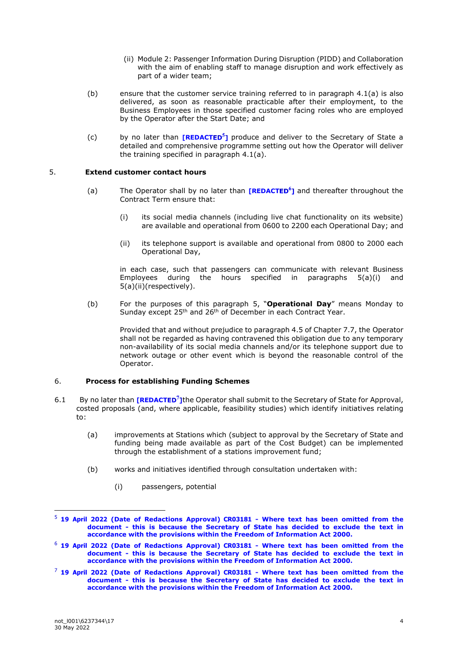- (ii) Module 2: Passenger Information During Disruption (PIDD) and Collaboration with the aim of enabling staff to manage disruption and work effectively as part of a wider team;
- (b) ensure that the customer service training referred to in paragraph 4.1(a) is also delivered, as soon as reasonable practicable after their employment, to the Business Employees in those specified customer facing roles who are employed by the Operator after the Start Date; and
- (c) by no later than **[REDACTED<sup>5</sup>]** produce and deliver to the Secretary of State a detailed and comprehensive programme setting out how the Operator will deliver the training specified in paragraph 4.1(a).

#### 5. **Extend customer contact hours**

- (a) The Operator shall by no later than **[REDACTED<sup>6</sup>]** and thereafter throughout the Contract Term ensure that:
	- (i) its social media channels (including live chat functionality on its website) are available and operational from 0600 to 2200 each Operational Day; and
	- (ii) its telephone support is available and operational from 0800 to 2000 each Operational Day,

in each case, such that passengers can communicate with relevant Business<br>Employees during the hours specified in paragraphs 5(a)(i) and during the hours specified in paragraphs  $5(a)(i)$  and 5(a)(ii)(respectively).

(b) For the purposes of this paragraph 5, "**Operational Day**" means Monday to Sunday except 25<sup>th</sup> and 26<sup>th</sup> of December in each Contract Year.

> Provided that and without prejudice to paragraph 4.5 of Chapter 7.7, the Operator shall not be regarded as having contravened this obligation due to any temporary non-availability of its social media channels and/or its telephone support due to network outage or other event which is beyond the reasonable control of the Operator.

#### 6. **Process for establishing Funding Schemes**

- 6.1 By no later than **[REDACTED<sup>7</sup>]** the Operator shall submit to the Secretary of State for Approval, costed proposals (and, where applicable, feasibility studies) which identify initiatives relating to:
	- (a) improvements at Stations which (subject to approval by the Secretary of State and funding being made available as part of the Cost Budget) can be implemented through the establishment of a stations improvement fund;
	- (b) works and initiatives identified through consultation undertaken with:
		- (i) passengers, potential

<sup>5</sup> **19 April 2022 (Date of Redactions Approval) CR03181 - Where text has been omitted from the document - this is because the Secretary of State has decided to exclude the text in accordance with the provisions within the Freedom of Information Act 2000.**

<sup>6</sup> **19 April 2022 (Date of Redactions Approval) CR03181 - Where text has been omitted from the document - this is because the Secretary of State has decided to exclude the text in accordance with the provisions within the Freedom of Information Act 2000.**

<sup>7</sup> **19 April 2022 (Date of Redactions Approval) CR03181 - Where text has been omitted from the document - this is because the Secretary of State has decided to exclude the text in accordance with the provisions within the Freedom of Information Act 2000.**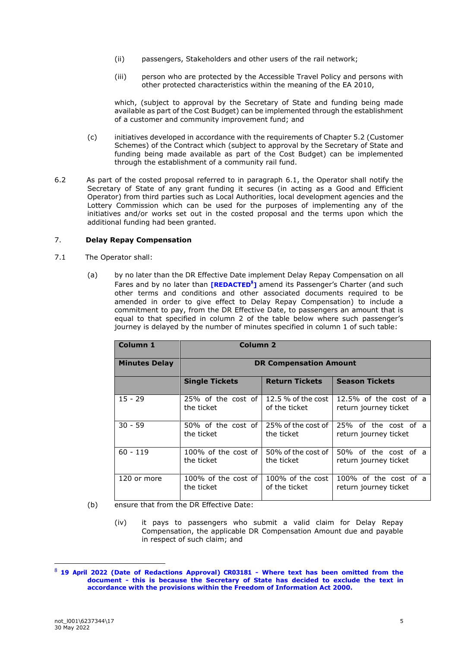- (ii) passengers, Stakeholders and other users of the rail network;
- (iii) person who are protected by the Accessible Travel Policy and persons with other protected characteristics within the meaning of the EA 2010,

which, (subject to approval by the Secretary of State and funding being made available as part of the Cost Budget) can be implemented through the establishment of a customer and community improvement fund; and

- (c) initiatives developed in accordance with the requirements of Chapter 5.2 (Customer Schemes) of the Contract which (subject to approval by the Secretary of State and funding being made available as part of the Cost Budget) can be implemented through the establishment of a community rail fund.
- 6.2 As part of the costed proposal referred to in paragraph 6.1, the Operator shall notify the Secretary of State of any grant funding it secures (in acting as a Good and Efficient Operator) from third parties such as Local Authorities, local development agencies and the Lottery Commission which can be used for the purposes of implementing any of the initiatives and/or works set out in the costed proposal and the terms upon which the additional funding had been granted.

# 7. **Delay Repay Compensation**

- 7.1 The Operator shall:
	- (a) by no later than the DR Effective Date implement Delay Repay Compensation on all Fares and by no later than **[REDACTED<sup>8</sup>]** amend its Passenger's Charter (and such other terms and conditions and other associated documents required to be amended in order to give effect to Delay Repay Compensation) to include a commitment to pay, from the DR Effective Date, to passengers an amount that is equal to that specified in column 2 of the table below where such passenger's journey is delayed by the number of minutes specified in column 1 of such table:

| Column 1             | Column <sub>2</sub>           |                       |                           |
|----------------------|-------------------------------|-----------------------|---------------------------|
| <b>Minutes Delay</b> | <b>DR Compensation Amount</b> |                       |                           |
|                      | <b>Single Tickets</b>         | <b>Return Tickets</b> | <b>Season Tickets</b>     |
| $15 - 29$            | 25% of the cost of            | 12.5 $%$ of the cost  | $12.5\%$ of the cost of a |
|                      | the ticket                    | of the ticket         | return journey ticket     |
| $30 - 59$            | 50% of the cost of            | 25% of the cost of    | 25% of the cost of a      |
|                      | the ticket                    | the ticket            | return journey ticket     |
| $60 - 119$           | $100\%$ of the cost of        | 50% of the cost of    | 50% of the cost of a      |
|                      | the ticket                    | the ticket            | return journey ticket     |
| 120 or more          | $100\%$ of the cost of        | 100% of the cost      | 100% of the cost of a     |
|                      | the ticket                    | of the ticket         | return journey ticket     |

- (b) ensure that from the DR Effective Date:
	- (iv) it pays to passengers who submit a valid claim for Delay Repay Compensation, the applicable DR Compensation Amount due and payable in respect of such claim; and

<sup>8</sup> **19 April 2022 (Date of Redactions Approval) CR03181 - Where text has been omitted from the document - this is because the Secretary of State has decided to exclude the text in accordance with the provisions within the Freedom of Information Act 2000.**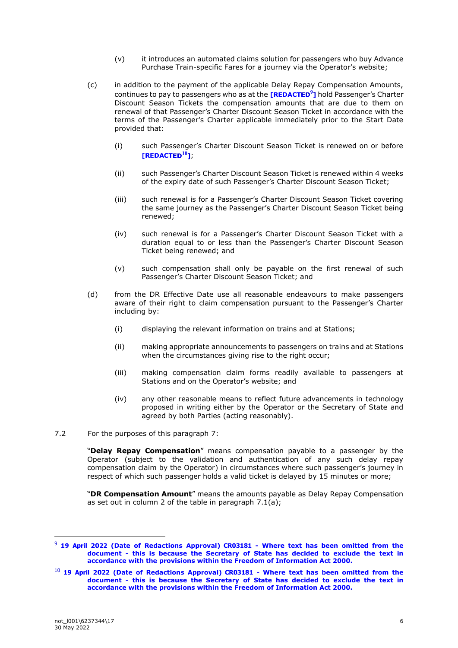- (v) it introduces an automated claims solution for passengers who buy Advance Purchase Train-specific Fares for a journey via the Operator's website;
- (c) in addition to the payment of the applicable Delay Repay Compensation Amounts, continues to pay to passengers who as at the **[REDACTED<sup>9</sup>]** hold Passenger's Charter Discount Season Tickets the compensation amounts that are due to them on renewal of that Passenger's Charter Discount Season Ticket in accordance with the terms of the Passenger's Charter applicable immediately prior to the Start Date provided that:
	- (i) such Passenger's Charter Discount Season Ticket is renewed on or before  $[REDACTER<sup>10</sup>]$ ;
	- (ii) such Passenger's Charter Discount Season Ticket is renewed within 4 weeks of the expiry date of such Passenger's Charter Discount Season Ticket;
	- (iii) such renewal is for a Passenger's Charter Discount Season Ticket covering the same journey as the Passenger's Charter Discount Season Ticket being renewed;
	- (iv) such renewal is for a Passenger's Charter Discount Season Ticket with a duration equal to or less than the Passenger's Charter Discount Season Ticket being renewed; and
	- (v) such compensation shall only be payable on the first renewal of such Passenger's Charter Discount Season Ticket; and
- (d) from the DR Effective Date use all reasonable endeavours to make passengers aware of their right to claim compensation pursuant to the Passenger's Charter including by:
	- (i) displaying the relevant information on trains and at Stations;
	- (ii) making appropriate announcements to passengers on trains and at Stations when the circumstances giving rise to the right occur;
	- (iii) making compensation claim forms readily available to passengers at Stations and on the Operator's website; and
	- (iv) any other reasonable means to reflect future advancements in technology proposed in writing either by the Operator or the Secretary of State and agreed by both Parties (acting reasonably).
- 7.2 For the purposes of this paragraph 7:

"**Delay Repay Compensation**" means compensation payable to a passenger by the Operator (subject to the validation and authentication of any such delay repay compensation claim by the Operator) in circumstances where such passenger's journey in respect of which such passenger holds a valid ticket is delayed by 15 minutes or more;

"**DR Compensation Amount**" means the amounts payable as Delay Repay Compensation as set out in column 2 of the table in paragraph 7.1(a);

<sup>9</sup> **19 April 2022 (Date of Redactions Approval) CR03181 - Where text has been omitted from the document - this is because the Secretary of State has decided to exclude the text in accordance with the provisions within the Freedom of Information Act 2000.**

<sup>10</sup> **19 April 2022 (Date of Redactions Approval) CR03181 - Where text has been omitted from the document - this is because the Secretary of State has decided to exclude the text in accordance with the provisions within the Freedom of Information Act 2000.**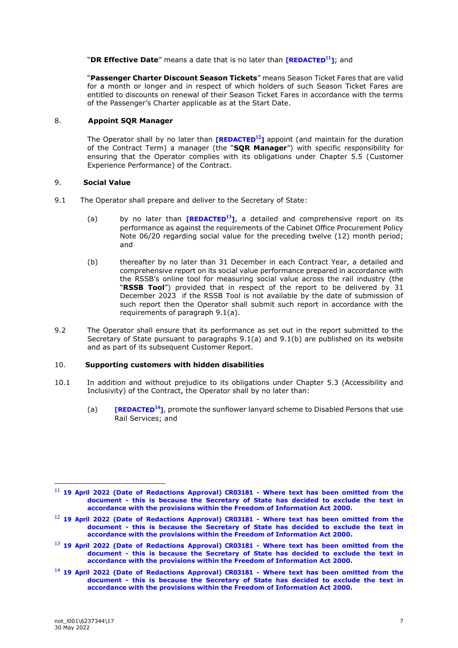"**DR Effective Date**" means a date that is no later than **[REDACTED**<sup>11</sup>]; and

"**Passenger Charter Discount Season Tickets**" means Season Ticket Fares that are valid for a month or longer and in respect of which holders of such Season Ticket Fares are entitled to discounts on renewal of their Season Ticket Fares in accordance with the terms of the Passenger's Charter applicable as at the Start Date.

# 8. **Appoint SQR Manager**

The Operator shall by no later than **[REDACTED<sup>12</sup>]** appoint (and maintain for the duration of the Contract Term) a manager (the "**SQR Manager**") with specific responsibility for ensuring that the Operator complies with its obligations under Chapter 5.5 (Customer Experience Performance) of the Contract.

# 9. **Social Value**

- 9.1 The Operator shall prepare and deliver to the Secretary of State:
	- (a) by no later than  $[REDACTER<sup>13</sup>]$ , a detailed and comprehensive report on its performance as against the requirements of the Cabinet Office Procurement Policy Note 06/20 regarding social value for the preceding twelve (12) month period; and
	- (b) thereafter by no later than 31 December in each Contract Year, a detailed and comprehensive report on its social value performance prepared in accordance with the RSSB's online tool for measuring social value across the rail industry (the "**RSSB Tool**") provided that in respect of the report to be delivered by 31 December 2023 if the RSSB Tool is not available by the date of submission of such report then the Operator shall submit such report in accordance with the requirements of paragraph 9.1(a).
- 9.2 The Operator shall ensure that its performance as set out in the report submitted to the Secretary of State pursuant to paragraphs 9.1(a) and 9.1(b) are published on its website and as part of its subsequent Customer Report.

#### 10. **Supporting customers with hidden disabilities**

- 10.1 In addition and without prejudice to its obligations under Chapter 5.3 (Accessibility and Inclusivity) of the Contract, the Operator shall by no later than:
	- (a) **IREDACTED<sup>14</sup>1**, promote the sunflower lanyard scheme to Disabled Persons that use Rail Services; and

<sup>11</sup> **19 April 2022 (Date of Redactions Approval) CR03181 - Where text has been omitted from the document - this is because the Secretary of State has decided to exclude the text in accordance with the provisions within the Freedom of Information Act 2000.**

<sup>12</sup> **19 April 2022 (Date of Redactions Approval) CR03181 - Where text has been omitted from the document - this is because the Secretary of State has decided to exclude the text in accordance with the provisions within the Freedom of Information Act 2000.**

<sup>13</sup> **19 April 2022 (Date of Redactions Approval) CR03181 - Where text has been omitted from the document - this is because the Secretary of State has decided to exclude the text in accordance with the provisions within the Freedom of Information Act 2000.**

<sup>14</sup> **19 April 2022 (Date of Redactions Approval) CR03181 - Where text has been omitted from the document - this is because the Secretary of State has decided to exclude the text in accordance with the provisions within the Freedom of Information Act 2000.**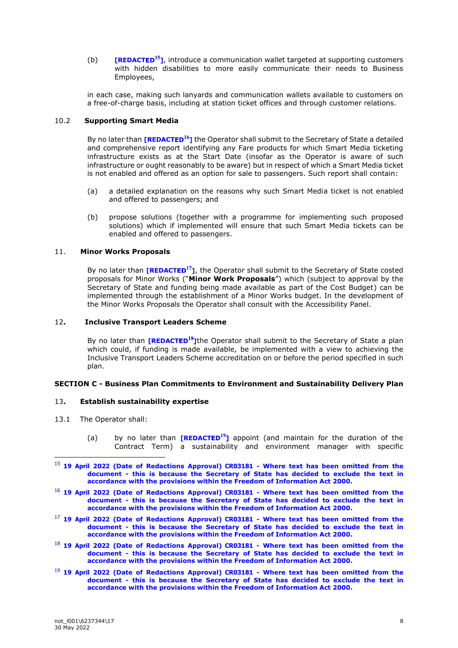(b) **[REDACTED<sup>15</sup>]**, introduce a communication wallet targeted at supporting customers with hidden disabilities to more easily communicate their needs to Business Employees,

in each case, making such lanyards and communication wallets available to customers on a free-of-charge basis, including at station ticket offices and through customer relations.

#### 10.2 **Supporting Smart Media**

By no later than **[REDACTED<sup>16</sup>]** the Operator shall submit to the Secretary of State a detailed and comprehensive report identifying any Fare products for which Smart Media ticketing infrastructure exists as at the Start Date (insofar as the Operator is aware of such infrastructure or ought reasonably to be aware) but in respect of which a Smart Media ticket is not enabled and offered as an option for sale to passengers. Such report shall contain:

- (a) a detailed explanation on the reasons why such Smart Media ticket is not enabled and offered to passengers; and
- (b) propose solutions (together with a programme for implementing such proposed solutions) which if implemented will ensure that such Smart Media tickets can be enabled and offered to passengers.

# 11. **Minor Works Proposals**

By no later than **[REDACTED<sup>17</sup>]**, the Operator shall submit to the Secretary of State costed proposals for Minor Works ("**Minor Work Proposals**") which (subject to approval by the Secretary of State and funding being made available as part of the Cost Budget) can be implemented through the establishment of a Minor Works budget. In the development of the Minor Works Proposals the Operator shall consult with the Accessibility Panel.

#### 12**. Inclusive Transport Leaders Scheme**

By no later than **[REDACTED<sup>18</sup>]**the Operator shall submit to the Secretary of State a plan which could, if funding is made available, be implemented with a view to achieving the Inclusive Transport Leaders Scheme accreditation on or before the period specified in such plan.

# **SECTION C - Business Plan Commitments to Environment and Sustainability Delivery Plan**

### 13**. Establish sustainability expertise**

- 13.1 The Operator shall:
	- (a) by no later than **[REDACTED<sup>19</sup>]** appoint (and maintain for the duration of the Contract Term) a sustainability and environment manager with specific
- <sup>15</sup> **19 April 2022 (Date of Redactions Approval) CR03181 - Where text has been omitted from the document - this is because the Secretary of State has decided to exclude the text in accordance with the provisions within the Freedom of Information Act 2000.**
- <sup>16</sup> **19 April 2022 (Date of Redactions Approval) CR03181 - Where text has been omitted from the document - this is because the Secretary of State has decided to exclude the text in accordance with the provisions within the Freedom of Information Act 2000.**
- <sup>17</sup> **19 April 2022 (Date of Redactions Approval) CR03181 - Where text has been omitted from the document - this is because the Secretary of State has decided to exclude the text in accordance with the provisions within the Freedom of Information Act 2000.**
- <sup>18</sup> **19 April 2022 (Date of Redactions Approval) CR03181 - Where text has been omitted from the document - this is because the Secretary of State has decided to exclude the text in accordance with the provisions within the Freedom of Information Act 2000.**
- <sup>19</sup> **19 April 2022 (Date of Redactions Approval) CR03181 - Where text has been omitted from the document - this is because the Secretary of State has decided to exclude the text in accordance with the provisions within the Freedom of Information Act 2000.**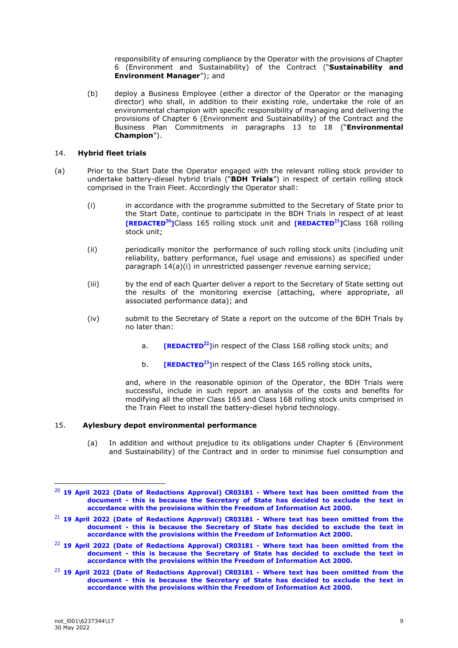responsibility of ensuring compliance by the Operator with the provisions of Chapter 6 (Environment and Sustainability) of the Contract ("**Sustainability and Environment Manager**"); and

(b) deploy a Business Employee (either a director of the Operator or the managing director) who shall, in addition to their existing role, undertake the role of an environmental champion with specific responsibility of managing and delivering the provisions of Chapter 6 (Environment and Sustainability) of the Contract and the Business Plan Commitments in paragraphs 13 to 18 ("**Environmental Champion**").

#### 14. **Hybrid fleet trials**

- (a) Prior to the Start Date the Operator engaged with the relevant rolling stock provider to undertake battery-diesel hybrid trials ("**BDH Trials**") in respect of certain rolling stock comprised in the Train Fleet. Accordingly the Operator shall:
	- (i) in accordance with the programme submitted to the Secretary of State prior to the Start Date, continue to participate in the BDH Trials in respect of at least **[REDACTED<sup>20</sup>]Class 165 rolling stock unit and <b>[REDACTED**<sup>21</sup>]Class 168 rolling stock unit;
	- (ii) periodically monitor the performance of such rolling stock units (including unit reliability, battery performance, fuel usage and emissions) as specified under paragraph 14(a)(i) in unrestricted passenger revenue earning service;
	- (iii) by the end of each Quarter deliver a report to the Secretary of State setting out the results of the monitoring exercise (attaching, where appropriate, all associated performance data); and
	- (iv) submit to the Secretary of State a report on the outcome of the BDH Trials by no later than:
		- a. **[REDACTED<sup>22</sup>]** in respect of the Class 168 rolling stock units; and
		- b. **[REDACTED**<sup>23</sup>] In respect of the Class 165 rolling stock units,

and, where in the reasonable opinion of the Operator, the BDH Trials were successful, include in such report an analysis of the costs and benefits for modifying all the other Class 165 and Class 168 rolling stock units comprised in the Train Fleet to install the battery-diesel hybrid technology.

# 15. **Aylesbury depot environmental performance**

(a) In addition and without prejudice to its obligations under Chapter 6 (Environment and Sustainability) of the Contract and in order to minimise fuel consumption and

<sup>20</sup> **19 April 2022 (Date of Redactions Approval) CR03181 - Where text has been omitted from the document - this is because the Secretary of State has decided to exclude the text in accordance with the provisions within the Freedom of Information Act 2000.**

<sup>21</sup> **19 April 2022 (Date of Redactions Approval) CR03181 - Where text has been omitted from the document - this is because the Secretary of State has decided to exclude the text in accordance with the provisions within the Freedom of Information Act 2000.**

<sup>22</sup> **19 April 2022 (Date of Redactions Approval) CR03181 - Where text has been omitted from the document - this is because the Secretary of State has decided to exclude the text in accordance with the provisions within the Freedom of Information Act 2000.**

<sup>23</sup> **19 April 2022 (Date of Redactions Approval) CR03181 - Where text has been omitted from the document - this is because the Secretary of State has decided to exclude the text in accordance with the provisions within the Freedom of Information Act 2000.**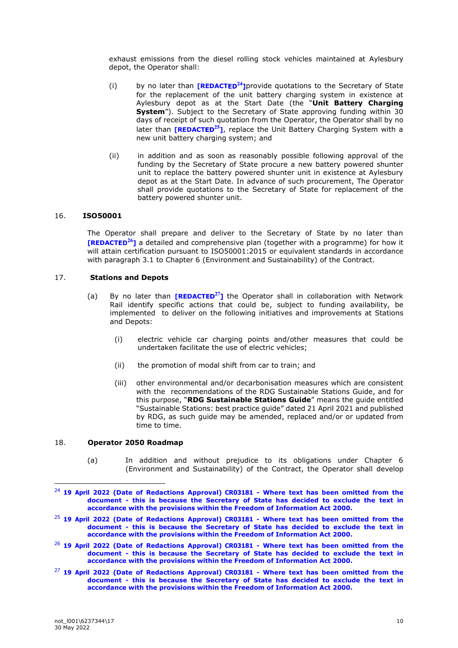exhaust emissions from the diesel rolling stock vehicles maintained at Aylesbury depot, the Operator shall:

- (i) by no later than **[REDACTED<sup>24</sup>]** provide quotations to the Secretary of State for the replacement of the unit battery charging system in existence at Aylesbury depot as at the Start Date (the "**Unit Battery Charging System**"). Subject to the Secretary of State approving funding within 30 days of receipt of such quotation from the Operator, the Operator shall by no later than **[REDACTED<sup>25</sup>]**, replace the Unit Battery Charging System with a new unit battery charging system; and
- (ii) in addition and as soon as reasonably possible following approval of the funding by the Secretary of State procure a new battery powered shunter unit to replace the battery powered shunter unit in existence at Aylesbury depot as at the Start Date. In advance of such procurement, The Operator shall provide quotations to the Secretary of State for replacement of the battery powered shunter unit.

# 16. **ISO50001**

The Operator shall prepare and deliver to the Secretary of State by no later than **[REDACTED<sup>26</sup>]** a detailed and comprehensive plan (together with a programme) for how it will attain certification pursuant to ISO50001:2015 or equivalent standards in accordance with paragraph 3.1 to Chapter 6 (Environment and Sustainability) of the Contract.

#### 17. **Stations and Depots**

- (a) By no later than **[REDACTED<sup>27</sup>]** the Operator shall in collaboration with Network Rail identify specific actions that could be, subject to funding availability, be implemented to deliver on the following initiatives and improvements at Stations and Depots:
	- (i) electric vehicle car charging points and/other measures that could be undertaken facilitate the use of electric vehicles;
	- (ii) the promotion of modal shift from car to train; and
	- (iii) other environmental and/or decarbonisation measures which are consistent with the recommendations of the RDG Sustainable Stations Guide, and for this purpose, "**RDG Sustainable Stations Guide**" means the guide entitled "Sustainable Stations: best practice guide" dated 21 April 2021 and published by RDG, as such guide may be amended, replaced and/or or updated from time to time.

#### 18. **Operator 2050 Roadmap**

(a) In addition and without prejudice to its obligations under Chapter 6 (Environment and Sustainability) of the Contract, the Operator shall develop

<sup>24</sup> **19 April 2022 (Date of Redactions Approval) CR03181 - Where text has been omitted from the document - this is because the Secretary of State has decided to exclude the text in accordance with the provisions within the Freedom of Information Act 2000.**

<sup>25</sup> **19 April 2022 (Date of Redactions Approval) CR03181 - Where text has been omitted from the document - this is because the Secretary of State has decided to exclude the text in accordance with the provisions within the Freedom of Information Act 2000.**

<sup>26</sup> **19 April 2022 (Date of Redactions Approval) CR03181 - Where text has been omitted from the document - this is because the Secretary of State has decided to exclude the text in accordance with the provisions within the Freedom of Information Act 2000.**

<sup>27</sup> **19 April 2022 (Date of Redactions Approval) CR03181 - Where text has been omitted from the document - this is because the Secretary of State has decided to exclude the text in accordance with the provisions within the Freedom of Information Act 2000.**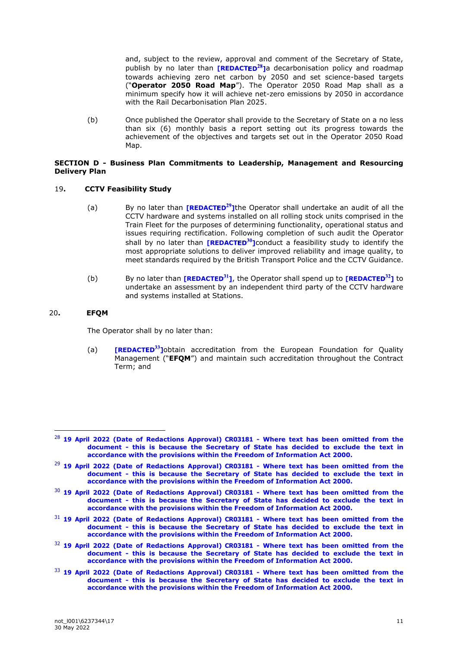and, subject to the review, approval and comment of the Secretary of State, publish by no later than **[REDACTED<sup>28</sup>]a** decarbonisation policy and roadmap towards achieving zero net carbon by 2050 and set science-based targets ("**Operator 2050 Road Map**"). The Operator 2050 Road Map shall as a minimum specify how it will achieve net-zero emissions by 2050 in accordance with the Rail Decarbonisation Plan 2025.

(b) Once published the Operator shall provide to the Secretary of State on a no less than six (6) monthly basis a report setting out its progress towards the achievement of the objectives and targets set out in the Operator 2050 Road Map.

#### **SECTION D - Business Plan Commitments to Leadership, Management and Resourcing Delivery Plan**

# 19**. CCTV Feasibility Study**

- (a) By no later than **[REDACTED<sup>29</sup>]**the Operator shall undertake an audit of all the CCTV hardware and systems installed on all rolling stock units comprised in the Train Fleet for the purposes of determining functionality, operational status and issues requiring rectification. Following completion of such audit the Operator shall by no later than **[REDACTED<sup>30</sup>]** conduct a feasibility study to identify the most appropriate solutions to deliver improved reliability and image quality, to meet standards required by the British Transport Police and the CCTV Guidance.
- (b) By no later than  $[REDACTER<sup>31</sup>]$ , the Operator shall spend up to  $[REDACTER<sup>32</sup>]$  to undertake an assessment by an independent third party of the CCTV hardware and systems installed at Stations.

# 20**. EFQM**

The Operator shall by no later than:

(a) **[REDACTED**<sup>33</sup>] obtain accreditation from the European Foundation for Quality Management ("**EFQM**") and maintain such accreditation throughout the Contract Term; and

- <sup>32</sup> **19 April 2022 (Date of Redactions Approval) CR03181 - Where text has been omitted from the document - this is because the Secretary of State has decided to exclude the text in accordance with the provisions within the Freedom of Information Act 2000.**
- <sup>33</sup> **19 April 2022 (Date of Redactions Approval) CR03181 - Where text has been omitted from the document - this is because the Secretary of State has decided to exclude the text in accordance with the provisions within the Freedom of Information Act 2000.**

<sup>28</sup> **19 April 2022 (Date of Redactions Approval) CR03181 - Where text has been omitted from the document - this is because the Secretary of State has decided to exclude the text in accordance with the provisions within the Freedom of Information Act 2000.**

<sup>29</sup> **19 April 2022 (Date of Redactions Approval) CR03181 - Where text has been omitted from the document - this is because the Secretary of State has decided to exclude the text in accordance with the provisions within the Freedom of Information Act 2000.**

<sup>30</sup> **19 April 2022 (Date of Redactions Approval) CR03181 - Where text has been omitted from the document - this is because the Secretary of State has decided to exclude the text in accordance with the provisions within the Freedom of Information Act 2000.**

<sup>31</sup> **19 April 2022 (Date of Redactions Approval) CR03181 - Where text has been omitted from the document - this is because the Secretary of State has decided to exclude the text in accordance with the provisions within the Freedom of Information Act 2000.**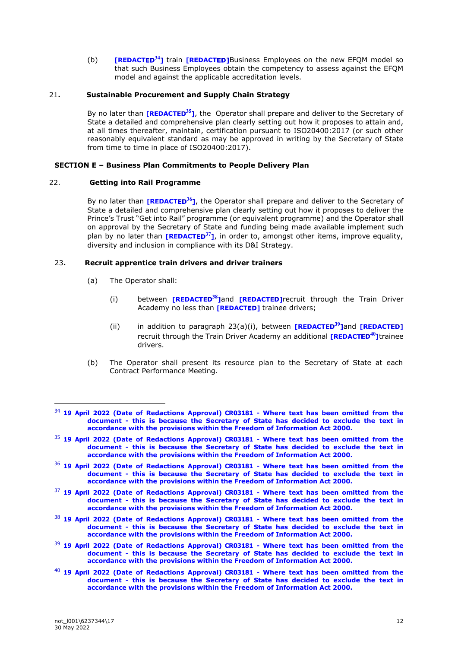(b) **[REDACTED<sup>34</sup>]** train **[REDACTED]**Business Employees on the new EFQM model so that such Business Employees obtain the competency to assess against the EFQM model and against the applicable accreditation levels.

## 21**. Sustainable Procurement and Supply Chain Strategy**

By no later than **[REDACTED<sup>35</sup>]**, the Operator shall prepare and deliver to the Secretary of State a detailed and comprehensive plan clearly setting out how it proposes to attain and, at all times thereafter, maintain, certification pursuant to ISO20400:2017 (or such other reasonably equivalent standard as may be approved in writing by the Secretary of State from time to time in place of ISO20400:2017).

# **SECTION E – Business Plan Commitments to People Delivery Plan**

# 22. **Getting into Rail Programme**

By no later than **[REDACTED<sup>36</sup>]**, the Operator shall prepare and deliver to the Secretary of State a detailed and comprehensive plan clearly setting out how it proposes to deliver the Prince's Trust "Get into Rail" programme (or equivalent programme) and the Operator shall on approval by the Secretary of State and funding being made available implement such plan by no later than **[REDACTED<sup>37</sup>]**, in order to, amongst other items, improve equality, diversity and inclusion in compliance with its D&I Strategy.

# 23**. Recruit apprentice train drivers and driver trainers**

- (a) The Operator shall:
	- (i) between **[REDACTED<sup>38</sup>]and [REDACTED]** recruit through the Train Driver Academy no less than [REDACTED] trainee drivers;
	- (ii) in addition to paragraph 23(a)(i), between **[REDACTED<sup>39</sup>]and [REDACTED]** recruit through the Train Driver Academy an additional **[REDACTED<sup>40</sup>]**trainee drivers.
- (b) The Operator shall present its resource plan to the Secretary of State at each Contract Performance Meeting.

- <sup>35</sup> **19 April 2022 (Date of Redactions Approval) CR03181 - Where text has been omitted from the document - this is because the Secretary of State has decided to exclude the text in accordance with the provisions within the Freedom of Information Act 2000.**
- <sup>36</sup> **19 April 2022 (Date of Redactions Approval) CR03181 - Where text has been omitted from the document - this is because the Secretary of State has decided to exclude the text in accordance with the provisions within the Freedom of Information Act 2000.**
- <sup>37</sup> **19 April 2022 (Date of Redactions Approval) CR03181 - Where text has been omitted from the document - this is because the Secretary of State has decided to exclude the text in accordance with the provisions within the Freedom of Information Act 2000.**
- <sup>38</sup> **19 April 2022 (Date of Redactions Approval) CR03181 - Where text has been omitted from the document - this is because the Secretary of State has decided to exclude the text in accordance with the provisions within the Freedom of Information Act 2000.**
- <sup>39</sup> **19 April 2022 (Date of Redactions Approval) CR03181 - Where text has been omitted from the document - this is because the Secretary of State has decided to exclude the text in accordance with the provisions within the Freedom of Information Act 2000.**
- <sup>40</sup> **19 April 2022 (Date of Redactions Approval) CR03181 - Where text has been omitted from the document - this is because the Secretary of State has decided to exclude the text in accordance with the provisions within the Freedom of Information Act 2000.**

<sup>34</sup> **19 April 2022 (Date of Redactions Approval) CR03181 - Where text has been omitted from the document - this is because the Secretary of State has decided to exclude the text in accordance with the provisions within the Freedom of Information Act 2000.**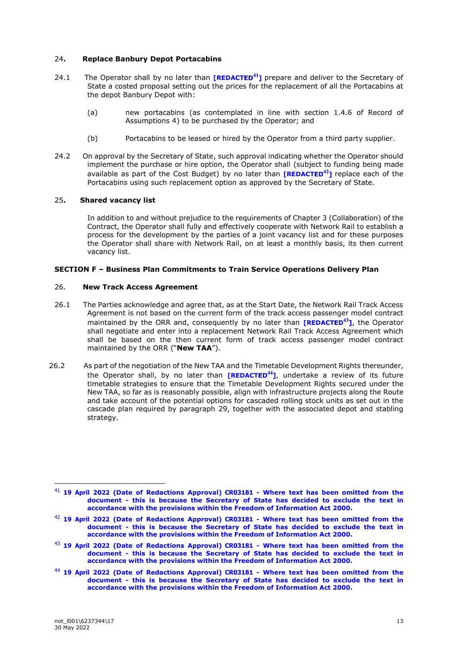#### 24**. Replace Banbury Depot Portacabins**

- 24.1 The Operator shall by no later than **[REDACTED<sup>41</sup>]** prepare and deliver to the Secretary of State a costed proposal setting out the prices for the replacement of all the Portacabins at the depot Banbury Depot with:
	- (a) new portacabins (as contemplated in line with section 1.4.6 of Record of Assumptions 4) to be purchased by the Operator; and
	- (b) Portacabins to be leased or hired by the Operator from a third party supplier.
- 24.2 On approval by the Secretary of State, such approval indicating whether the Operator should implement the purchase or hire option, the Operator shall (subject to funding being made available as part of the Cost Budget) by no later than **[REDACTED<sup>42</sup>]** replace each of the Portacabins using such replacement option as approved by the Secretary of State.

# 25**. Shared vacancy list**

In addition to and without prejudice to the requirements of Chapter 3 (Collaboration) of the Contract, the Operator shall fully and effectively cooperate with Network Rail to establish a process for the development by the parties of a joint vacancy list and for these purposes the Operator shall share with Network Rail, on at least a monthly basis, its then current vacancy list.

#### **SECTION F – Business Plan Commitments to Train Service Operations Delivery Plan**

# 26. **New Track Access Agreement**

- 26.1 The Parties acknowledge and agree that, as at the Start Date, the Network Rail Track Access Agreement is not based on the current form of the track access passenger model contract maintained by the ORR and, consequently by no later than **[REDACTED<sup>43</sup>]**, the Operator shall negotiate and enter into a replacement Network Rail Track Access Agreement which shall be based on the then current form of track access passenger model contract maintained by the ORR ("**New TAA**").
- 26.2 As part of the negotiation of the New TAA and the Timetable Development Rights thereunder, the Operator shall, by no later than **[REDACTED<sup>44</sup>]**, undertake a review of its future timetable strategies to ensure that the Timetable Development Rights secured under the New TAA, so far as is reasonably possible, align with infrastructure projects along the Route and take account of the potential options for cascaded rolling stock units as set out in the cascade plan required by paragraph 29, together with the associated depot and stabling strategy.

<sup>41</sup> **19 April 2022 (Date of Redactions Approval) CR03181 - Where text has been omitted from the document - this is because the Secretary of State has decided to exclude the text in accordance with the provisions within the Freedom of Information Act 2000.**

<sup>42</sup> **19 April 2022 (Date of Redactions Approval) CR03181 - Where text has been omitted from the document - this is because the Secretary of State has decided to exclude the text in accordance with the provisions within the Freedom of Information Act 2000.**

<sup>43</sup> **19 April 2022 (Date of Redactions Approval) CR03181 - Where text has been omitted from the document - this is because the Secretary of State has decided to exclude the text in accordance with the provisions within the Freedom of Information Act 2000.**

<sup>44</sup> **19 April 2022 (Date of Redactions Approval) CR03181 - Where text has been omitted from the document - this is because the Secretary of State has decided to exclude the text in accordance with the provisions within the Freedom of Information Act 2000.**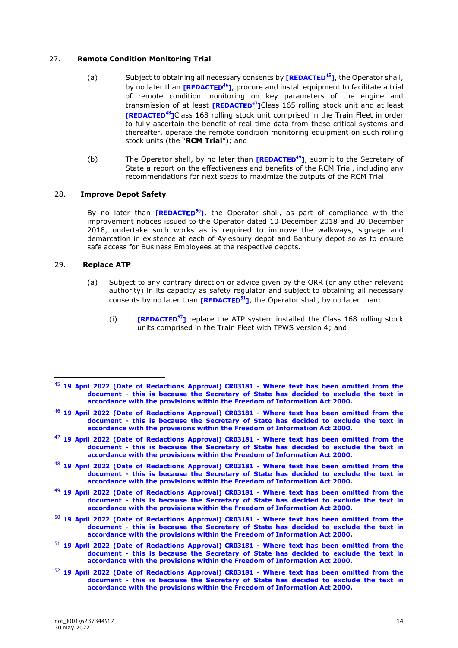### 27. **Remote Condition Monitoring Trial**

- (a) Subject to obtaining all necessary consents by **[REDACTED<sup>45</sup>]**, the Operator shall, by no later than **[REDACTED<sup>46</sup>]**, procure and install equipment to facilitate a trial of remote condition monitoring on key parameters of the engine and transmission of at least **[REDACTED<sup>47</sup>]Class 165 rolling stock unit and at least [REDACTED<sup>48</sup>]Class 168 rolling stock unit comprised in the Train Fleet in order** to fully ascertain the benefit of real-time data from these critical systems and thereafter, operate the remote condition monitoring equipment on such rolling stock units (the "**RCM Trial**"); and
- (b) The Operator shall, by no later than **[REDACTED<sup>49</sup>]**, submit to the Secretary of State a report on the effectiveness and benefits of the RCM Trial, including any recommendations for next steps to maximize the outputs of the RCM Trial.

#### 28. **Improve Depot Safety**

By no later than **[REDACTED<sup>50</sup>]**, the Operator shall, as part of compliance with the improvement notices issued to the Operator dated 10 December 2018 and 30 December 2018, undertake such works as is required to improve the walkways, signage and demarcation in existence at each of Aylesbury depot and Banbury depot so as to ensure safe access for Business Employees at the respective depots.

#### 29. **Replace ATP**

- (a) Subject to any contrary direction or advice given by the ORR (or any other relevant authority) in its capacity as safety regulator and subject to obtaining all necessary consents by no later than **[REDACTED**<sup>51</sup>], the Operator shall, by no later than:
	- (i) **[REDACTED**<sup>52</sup>] replace the ATP system installed the Class 168 rolling stock units comprised in the Train Fleet with TPWS version 4; and

- <sup>47</sup> **19 April 2022 (Date of Redactions Approval) CR03181 - Where text has been omitted from the document - this is because the Secretary of State has decided to exclude the text in accordance with the provisions within the Freedom of Information Act 2000.**
- <sup>48</sup> **19 April 2022 (Date of Redactions Approval) CR03181 - Where text has been omitted from the document - this is because the Secretary of State has decided to exclude the text in accordance with the provisions within the Freedom of Information Act 2000.**
- <sup>49</sup> **19 April 2022 (Date of Redactions Approval) CR03181 - Where text has been omitted from the document - this is because the Secretary of State has decided to exclude the text in accordance with the provisions within the Freedom of Information Act 2000.**
- <sup>50</sup> **19 April 2022 (Date of Redactions Approval) CR03181 - Where text has been omitted from the document - this is because the Secretary of State has decided to exclude the text in accordance with the provisions within the Freedom of Information Act 2000.**
- <sup>51</sup> **19 April 2022 (Date of Redactions Approval) CR03181 - Where text has been omitted from the document - this is because the Secretary of State has decided to exclude the text in accordance with the provisions within the Freedom of Information Act 2000.**
- <sup>52</sup> **19 April 2022 (Date of Redactions Approval) CR03181 - Where text has been omitted from the document - this is because the Secretary of State has decided to exclude the text in accordance with the provisions within the Freedom of Information Act 2000.**

<sup>45</sup> **19 April 2022 (Date of Redactions Approval) CR03181 - Where text has been omitted from the document - this is because the Secretary of State has decided to exclude the text in accordance with the provisions within the Freedom of Information Act 2000.**

<sup>46</sup> **19 April 2022 (Date of Redactions Approval) CR03181 - Where text has been omitted from the document - this is because the Secretary of State has decided to exclude the text in accordance with the provisions within the Freedom of Information Act 2000.**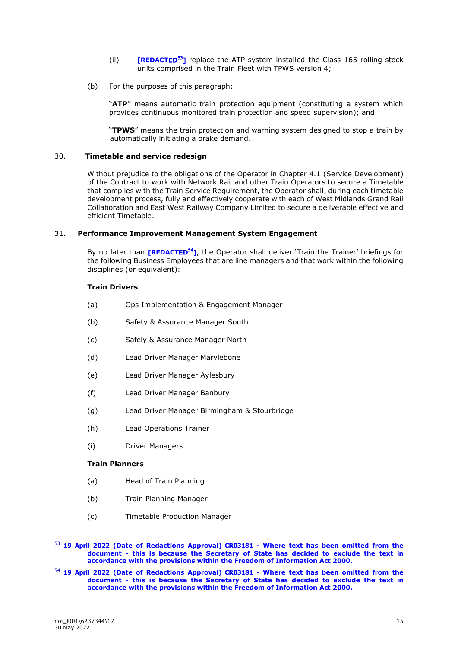- (ii) **[REDACTED**<sup>53</sup>] replace the ATP system installed the Class 165 rolling stock units comprised in the Train Fleet with TPWS version 4;
- (b) For the purposes of this paragraph:

"**ATP**" means automatic train protection equipment (constituting a system which provides continuous monitored train protection and speed supervision); and

"**TPWS**" means the train protection and warning system designed to stop a train by automatically initiating a brake demand.

# 30. **Timetable and service redesign**

Without prejudice to the obligations of the Operator in Chapter 4.1 (Service Development) of the Contract to work with Network Rail and other Train Operators to secure a Timetable that complies with the Train Service Requirement, the Operator shall, during each timetable development process, fully and effectively cooperate with each of West Midlands Grand Rail Collaboration and East West Railway Company Limited to secure a deliverable effective and efficient Timetable.

# 31**. Performance Improvement Management System Engagement**

By no later than **[REDACTED<sup>54</sup>]**, the Operator shall deliver 'Train the Trainer' briefings for the following Business Employees that are line managers and that work within the following disciplines (or equivalent):

# **Train Drivers**

- (a) Ops Implementation & Engagement Manager
- (b) Safety & Assurance Manager South
- (c) Safely & Assurance Manager North
- (d) Lead Driver Manager Marylebone
- (e) Lead Driver Manager Aylesbury
- (f) Lead Driver Manager Banbury
- (g) Lead Driver Manager Birmingham & Stourbridge
- (h) Lead Operations Trainer
- (i) Driver Managers

#### **Train Planners**

- (a) Head of Train Planning
- (b) Train Planning Manager
- (c) Timetable Production Manager

<sup>53</sup> **19 April 2022 (Date of Redactions Approval) CR03181 - Where text has been omitted from the document - this is because the Secretary of State has decided to exclude the text in accordance with the provisions within the Freedom of Information Act 2000.**

<sup>54</sup> **19 April 2022 (Date of Redactions Approval) CR03181 - Where text has been omitted from the document - this is because the Secretary of State has decided to exclude the text in accordance with the provisions within the Freedom of Information Act 2000.**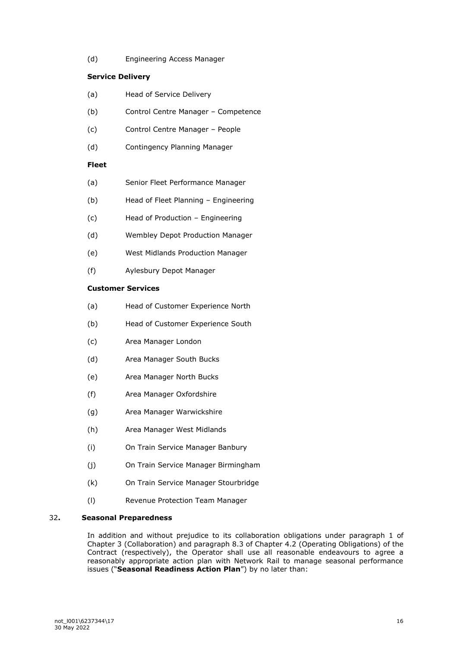(d) Engineering Access Manager

# **Service Delivery**

- (a) Head of Service Delivery
- (b) Control Centre Manager Competence
- (c) Control Centre Manager People
- (d) Contingency Planning Manager

# **Fleet**

- (a) Senior Fleet Performance Manager
- (b) Head of Fleet Planning Engineering
- (c) Head of Production Engineering
- (d) Wembley Depot Production Manager
- (e) West Midlands Production Manager
- (f) Aylesbury Depot Manager

# **Customer Services**

- (a) Head of Customer Experience North
- (b) Head of Customer Experience South
- (c) Area Manager London
- (d) Area Manager South Bucks
- (e) Area Manager North Bucks
- (f) Area Manager Oxfordshire
- (g) Area Manager Warwickshire
- (h) Area Manager West Midlands
- (i) On Train Service Manager Banbury
- (j) On Train Service Manager Birmingham
- (k) On Train Service Manager Stourbridge
- (l) Revenue Protection Team Manager

# 32**. Seasonal Preparedness**

In addition and without prejudice to its collaboration obligations under paragraph 1 of Chapter 3 (Collaboration) and paragraph 8.3 of Chapter 4.2 (Operating Obligations) of the Contract (respectively), the Operator shall use all reasonable endeavours to agree a reasonably appropriate action plan with Network Rail to manage seasonal performance issues ("**Seasonal Readiness Action Plan**") by no later than: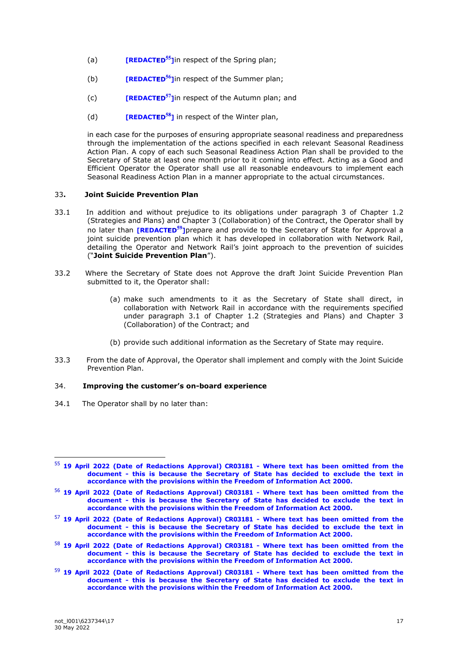- (a) **[REDACTED**<sup>55</sup>] In respect of the Spring plan;
- (b) **[REDACTED**<sup>56</sup>] In respect of the Summer plan;
- (c) **[REDACTED**<sup>57</sup>] In respect of the Autumn plan; and
- (d) **[REDACTED**<sup>58</sup>] in respect of the Winter plan,

in each case for the purposes of ensuring appropriate seasonal readiness and preparedness through the implementation of the actions specified in each relevant Seasonal Readiness Action Plan. A copy of each such Seasonal Readiness Action Plan shall be provided to the Secretary of State at least one month prior to it coming into effect. Acting as a Good and Efficient Operator the Operator shall use all reasonable endeavours to implement each Seasonal Readiness Action Plan in a manner appropriate to the actual circumstances.

#### 33**. Joint Suicide Prevention Plan**

- 33.1 In addition and without prejudice to its obligations under paragraph 3 of Chapter 1.2 (Strategies and Plans) and Chapter 3 (Collaboration) of the Contract, the Operator shall by no later than **[REDACTED<sup>59</sup>]** prepare and provide to the Secretary of State for Approval a joint suicide prevention plan which it has developed in collaboration with Network Rail, detailing the Operator and Network Rail's joint approach to the prevention of suicides ("**Joint Suicide Prevention Plan**").
- 33.2 Where the Secretary of State does not Approve the draft Joint Suicide Prevention Plan submitted to it, the Operator shall:
	- (a) make such amendments to it as the Secretary of State shall direct, in collaboration with Network Rail in accordance with the requirements specified under paragraph 3.1 of Chapter 1.2 (Strategies and Plans) and Chapter 3 (Collaboration) of the Contract; and
	- (b) provide such additional information as the Secretary of State may require.
- 33.3 From the date of Approval, the Operator shall implement and comply with the Joint Suicide Prevention Plan.

#### 34. **Improving the customer's on-board experience**

34.1 The Operator shall by no later than:

- <sup>58</sup> **19 April 2022 (Date of Redactions Approval) CR03181 - Where text has been omitted from the document - this is because the Secretary of State has decided to exclude the text in accordance with the provisions within the Freedom of Information Act 2000.**
- <sup>59</sup> **19 April 2022 (Date of Redactions Approval) CR03181 - Where text has been omitted from the document - this is because the Secretary of State has decided to exclude the text in accordance with the provisions within the Freedom of Information Act 2000.**

<sup>55</sup> **19 April 2022 (Date of Redactions Approval) CR03181 - Where text has been omitted from the document - this is because the Secretary of State has decided to exclude the text in accordance with the provisions within the Freedom of Information Act 2000.**

<sup>56</sup> **19 April 2022 (Date of Redactions Approval) CR03181 - Where text has been omitted from the document - this is because the Secretary of State has decided to exclude the text in accordance with the provisions within the Freedom of Information Act 2000.**

<sup>57</sup> **19 April 2022 (Date of Redactions Approval) CR03181 - Where text has been omitted from the document - this is because the Secretary of State has decided to exclude the text in accordance with the provisions within the Freedom of Information Act 2000.**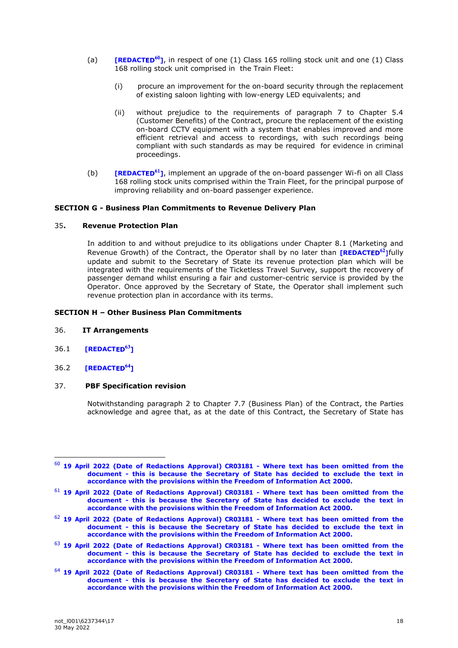- (a) **[REDACTED<sup>60</sup>]**, in respect of one (1) Class 165 rolling stock unit and one (1) Class 168 rolling stock unit comprised in the Train Fleet:
	- (i) procure an improvement for the on-board security through the replacement of existing saloon lighting with low-energy LED equivalents; and
	- (ii) without prejudice to the requirements of paragraph 7 to Chapter 5.4 (Customer Benefits) of the Contract, procure the replacement of the existing on-board CCTV equipment with a system that enables improved and more efficient retrieval and access to recordings, with such recordings being compliant with such standards as may be required for evidence in criminal proceedings.
- (b) **[REDACTED<sup>61</sup>]**, implement an upgrade of the on-board passenger Wi-fi on all Class 168 rolling stock units comprised within the Train Fleet, for the principal purpose of improving reliability and on-board passenger experience.

# **SECTION G - Business Plan Commitments to Revenue Delivery Plan**

#### 35**. Revenue Protection Plan**

In addition to and without prejudice to its obligations under Chapter 8.1 (Marketing and Revenue Growth) of the Contract, the Operator shall by no later than **[REDACTED<sup>62</sup>]** fully update and submit to the Secretary of State its revenue protection plan which will be integrated with the requirements of the Ticketless Travel Survey, support the recovery of passenger demand whilst ensuring a fair and customer-centric service is provided by the Operator. Once approved by the Secretary of State, the Operator shall implement such revenue protection plan in accordance with its terms.

#### **SECTION H – Other Business Plan Commitments**

- 36. **IT Arrangements**
- 36.1 **[REDACT**
- 36.2 **[REDACT**

#### 37. **PBF Specification revision**

Notwithstanding paragraph 2 to Chapter 7.7 (Business Plan) of the Contract, the Parties acknowledge and agree that, as at the date of this Contract, the Secretary of State has

<sup>60</sup> **19 April 2022 (Date of Redactions Approval) CR03181 - Where text has been omitted from the document - this is because the Secretary of State has decided to exclude the text in accordance with the provisions within the Freedom of Information Act 2000.**

<sup>61</sup> **19 April 2022 (Date of Redactions Approval) CR03181 - Where text has been omitted from the document - this is because the Secretary of State has decided to exclude the text in accordance with the provisions within the Freedom of Information Act 2000.**

<sup>62</sup> **19 April 2022 (Date of Redactions Approval) CR03181 - Where text has been omitted from the document - this is because the Secretary of State has decided to exclude the text in accordance with the provisions within the Freedom of Information Act 2000.**

<sup>63</sup> **19 April 2022 (Date of Redactions Approval) CR03181 - Where text has been omitted from the document - this is because the Secretary of State has decided to exclude the text in accordance with the provisions within the Freedom of Information Act 2000.**

<sup>64</sup> **19 April 2022 (Date of Redactions Approval) CR03181 - Where text has been omitted from the document - this is because the Secretary of State has decided to exclude the text in accordance with the provisions within the Freedom of Information Act 2000.**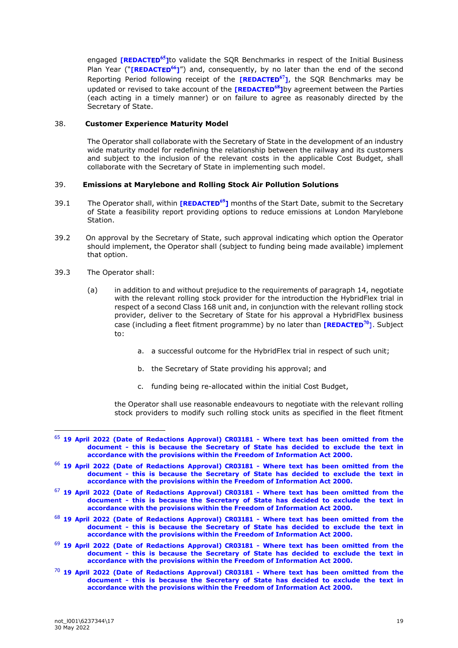engaged **[REDACTED<sup>65</sup>]to** validate the SQR Benchmarks in respect of the Initial Business Plan Year ("**[REDACTED<sup>66</sup>]**") and, consequently, by no later than the end of the second Reporting Period following receipt of the **[REDACTED<sup>67</sup>]**, the SQR Benchmarks may be updated or revised to take account of the **[REDACTED<sup>68</sup>]**by agreement between the Parties (each acting in a timely manner) or on failure to agree as reasonably directed by the Secretary of State.

# 38. **Customer Experience Maturity Model**

The Operator shall collaborate with the Secretary of State in the development of an industry wide maturity model for redefining the relationship between the railway and its customers and subject to the inclusion of the relevant costs in the applicable Cost Budget, shall collaborate with the Secretary of State in implementing such model.

# 39. **Emissions at Marylebone and Rolling Stock Air Pollution Solutions**

- 39.1 The Operator shall, within **[REDACTED<sup>69</sup>]** months of the Start Date, submit to the Secretary of State a feasibility report providing options to reduce emissions at London Marylebone Station.
- 39.2 On approval by the Secretary of State, such approval indicating which option the Operator should implement, the Operator shall (subject to funding being made available) implement that option.
- 39.3 The Operator shall:
	- (a) in addition to and without prejudice to the requirements of paragraph 14, negotiate with the relevant rolling stock provider for the introduction the HybridFlex trial in respect of a second Class 168 unit and, in conjunction with the relevant rolling stock provider, deliver to the Secretary of State for his approval a HybridFlex business case (including a fleet fitment programme) by no later than **[REDACTED<sup>70</sup>]**. Subject to:
		- a. a successful outcome for the HybridFlex trial in respect of such unit;
		- b. the Secretary of State providing his approval; and
		- c. funding being re-allocated within the initial Cost Budget,

the Operator shall use reasonable endeavours to negotiate with the relevant rolling stock providers to modify such rolling stock units as specified in the fleet fitment

- <sup>67</sup> **19 April 2022 (Date of Redactions Approval) CR03181 - Where text has been omitted from the document - this is because the Secretary of State has decided to exclude the text in accordance with the provisions within the Freedom of Information Act 2000.**
- <sup>68</sup> **19 April 2022 (Date of Redactions Approval) CR03181 - Where text has been omitted from the document - this is because the Secretary of State has decided to exclude the text in accordance with the provisions within the Freedom of Information Act 2000.**
- <sup>69</sup> **19 April 2022 (Date of Redactions Approval) CR03181 - Where text has been omitted from the document - this is because the Secretary of State has decided to exclude the text in accordance with the provisions within the Freedom of Information Act 2000.**
- <sup>70</sup> **19 April 2022 (Date of Redactions Approval) CR03181 - Where text has been omitted from the document - this is because the Secretary of State has decided to exclude the text in accordance with the provisions within the Freedom of Information Act 2000.**

<sup>65</sup> **19 April 2022 (Date of Redactions Approval) CR03181 - Where text has been omitted from the document - this is because the Secretary of State has decided to exclude the text in accordance with the provisions within the Freedom of Information Act 2000.**

<sup>66</sup> **19 April 2022 (Date of Redactions Approval) CR03181 - Where text has been omitted from the document - this is because the Secretary of State has decided to exclude the text in accordance with the provisions within the Freedom of Information Act 2000.**